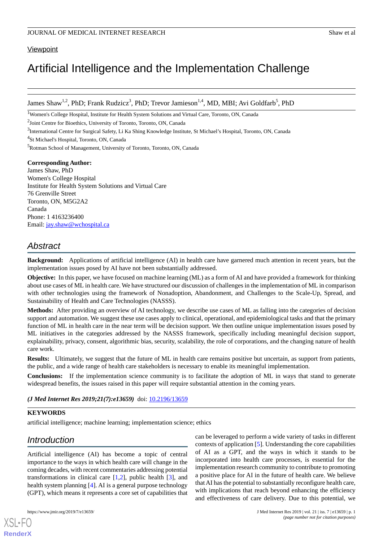# **Viewpoint**

# Artificial Intelligence and the Implementation Challenge

James Shaw<sup>1,2</sup>, PhD; Frank Rudzicz<sup>3</sup>, PhD; Trevor Jamieson<sup>1,4</sup>, MD, MBI; Avi Goldfarb<sup>5</sup>, PhD

<sup>1</sup>Women's College Hospital, Institute for Health System Solutions and Virtual Care, Toronto, ON, Canada

<sup>2</sup>Joint Centre for Bioethics, University of Toronto, Toronto, ON, Canada

<sup>3</sup>International Centre for Surgical Safety, Li Ka Shing Knowledge Institute, St Michael's Hospital, Toronto, ON, Canada

<sup>4</sup>St Michael's Hospital, Toronto, ON, Canada

<sup>5</sup>Rotman School of Management, University of Toronto, Toronto, ON, Canada

#### **Corresponding Author:**

James Shaw, PhD Women's College Hospital Institute for Health System Solutions and Virtual Care 76 Grenville Street Toronto, ON, M5G2A2 Canada Phone: 1 4163236400 Email: [jay.shaw@wchospital.ca](mailto:jay.shaw@wchospital.ca)

# *Abstract*

**Background:** Applications of artificial intelligence (AI) in health care have garnered much attention in recent years, but the implementation issues posed by AI have not been substantially addressed.

**Objective:** In this paper, we have focused on machine learning (ML) as a form of AI and have provided a framework for thinking about use cases of ML in health care. We have structured our discussion of challenges in the implementation of ML in comparison with other technologies using the framework of Nonadoption, Abandonment, and Challenges to the Scale-Up, Spread, and Sustainability of Health and Care Technologies (NASSS).

**Methods:** After providing an overview of AI technology, we describe use cases of ML as falling into the categories of decision support and automation. We suggest these use cases apply to clinical, operational, and epidemiological tasks and that the primary function of ML in health care in the near term will be decision support. We then outline unique implementation issues posed by ML initiatives in the categories addressed by the NASSS framework, specifically including meaningful decision support, explainability, privacy, consent, algorithmic bias, security, scalability, the role of corporations, and the changing nature of health care work.

**Results:** Ultimately, we suggest that the future of ML in health care remains positive but uncertain, as support from patients, the public, and a wide range of health care stakeholders is necessary to enable its meaningful implementation.

**Conclusions:** If the implementation science community is to facilitate the adoption of ML in ways that stand to generate widespread benefits, the issues raised in this paper will require substantial attention in the coming years.

*(J Med Internet Res 2019;21(7):e13659)* doi: [10.2196/13659](http://dx.doi.org/10.2196/13659)

# **KEYWORDS**

artificial intelligence; machine learning; implementation science; ethics

# *Introduction*

Artificial intelligence (AI) has become a topic of central importance to the ways in which health care will change in the coming decades, with recent commentaries addressing potential transformations in clinical care  $[1,2]$  $[1,2]$  $[1,2]$  $[1,2]$ , public health  $[3]$  $[3]$ , and health system planning [\[4](#page-7-3)]. AI is a general purpose technology (GPT), which means it represents a core set of capabilities that

[XSL](http://www.w3.org/Style/XSL)•FO **[RenderX](http://www.renderx.com/)**

can be leveraged to perform a wide variety of tasks in different contexts of application [\[5](#page-7-4)]. Understanding the core capabilities of AI as a GPT, and the ways in which it stands to be incorporated into health care processes, is essential for the implementation research community to contribute to promoting a positive place for AI in the future of health care. We believe that AI has the potential to substantially reconfigure health care, with implications that reach beyond enhancing the efficiency and effectiveness of care delivery. Due to this potential, we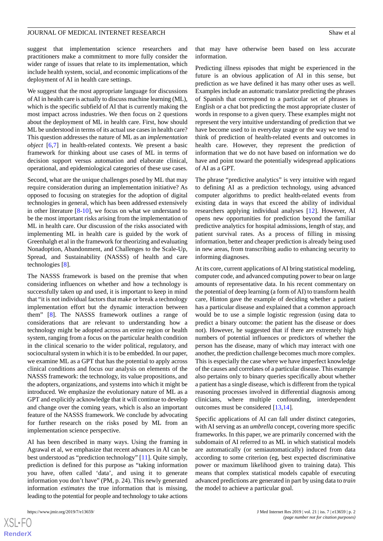suggest that implementation science researchers and practitioners make a commitment to more fully consider the wider range of issues that relate to its implementation, which include health system, social, and economic implications of the deployment of AI in health care settings.

We suggest that the most appropriate language for discussions of AI in health care is actually to discuss machine learning (ML), which is the specific subfield of AI that is currently making the most impact across industries. We then focus on 2 questions about the deployment of ML in health care. First, how should ML be understood in terms of its actual use cases in health care? This question addresses the nature of ML as an *implementation object* [\[6](#page-7-5),[7\]](#page-7-6) in health-related contexts. We present a basic framework for thinking about use cases of ML in terms of decision support versus automation and elaborate clinical, operational, and epidemiological categories of these use cases.

Second, what are the unique challenges posed by ML that may require consideration during an implementation initiative? As opposed to focusing on strategies for the adoption of digital technologies in general, which has been addressed extensively in other literature  $[8-10]$  $[8-10]$  $[8-10]$ , we focus on what we understand to be the most important risks arising from the implementation of ML in health care. Our discussion of the risks associated with implementing ML in health care is guided by the work of Greenhalgh et al in the framework for theorizing and evaluating Nonadoption, Abandonment, and Challenges to the Scale-Up, Spread, and Sustainability (NASSS) of health and care technologies [[8\]](#page-8-0).

The NASSS framework is based on the premise that when considering influences on whether and how a technology is successfully taken up and used, it is important to keep in mind that "it is not individual factors that make or break a technology implementation effort but the dynamic interaction between them" [\[8](#page-8-0)]. The NASSS framework outlines a range of considerations that are relevant to understanding how a technology might be adopted across an entire region or health system, ranging from a focus on the particular health condition in the clinical scenario to the wider political, regulatory, and sociocultural system in which it is to be embedded. In our paper, we examine ML as a GPT that has the potential to apply across clinical conditions and focus our analysis on elements of the NASSS framework: the technology, its value propositions, and the adopters, organizations, and systems into which it might be introduced. We emphasize the evolutionary nature of ML as a GPT and explicitly acknowledge that it will continue to develop and change over the coming years, which is also an important feature of the NASSS framework. We conclude by advocating for further research on the risks posed by ML from an implementation science perspective.

AI has been described in many ways. Using the framing in Agrawal et al, we emphasize that recent advances in AI can be best understood as "prediction technology" [[11\]](#page-8-2). Quite simply, prediction is defined for this purpose as "taking information you have, often called 'data', and using it to generate information you don't have" (PM, p. 24). This newly generated information *estimates* the true information that is missing, leading to the potential for people and technology to take actions

that may have otherwise been based on less accurate information.

Predicting illness episodes that might be experienced in the future is an obvious application of AI in this sense, but prediction as we have defined it has many other uses as well. Examples include an automatic translator predicting the phrases of Spanish that correspond to a particular set of phrases in English or a chat bot predicting the most appropriate cluster of words in response to a given query. These examples might not represent the very intuitive understanding of prediction that we have become used to in everyday usage or the way we tend to think of prediction of health-related events and outcomes in health care. However, they represent the prediction of information that we do not have based on information we do have and point toward the potentially widespread applications of AI as a GPT.

The phrase "predictive analytics" is very intuitive with regard to defining AI as a prediction technology, using advanced computer algorithms to predict health-related events from existing data in ways that exceed the ability of individual researchers applying individual analyses [[12\]](#page-8-3). However, AI opens new opportunities for prediction beyond the familiar predictive analytics for hospital admissions, length of stay, and patient survival rates. As a process of filling in missing information, better and cheaper prediction is already being used in new areas, from transcribing audio to enhancing security to informing diagnoses.

At its core, current applications of AI bring statistical modeling, computer code, and advanced computing power to bear on large amounts of representative data. In his recent commentary on the potential of deep learning (a form of AI) to transform health care, Hinton gave the example of deciding whether a patient has a particular disease and explained that a common approach would be to use a simple logistic regression (using data to predict a binary outcome: the patient has the disease or does not). However, he suggested that if there are extremely high numbers of potential influences or predictors of whether the person has the disease, many of which may interact with one another, the prediction challenge becomes much more complex. This is especially the case where we have imperfect knowledge of the causes and correlates of a particular disease. This example also pertains only to binary queries specifically about whether a patient has a single disease, which is different from the typical reasoning processes involved in differential diagnosis among clinicians, where multiple confounding, interdependent outcomes must be considered [[13,](#page-8-4)[14](#page-8-5)].

Specific applications of AI can fall under distinct categories, with AI serving as an *umbrella* concept, covering more specific frameworks. In this paper, we are primarily concerned with the subdomain of AI referred to as ML in which statistical models are automatically (or semiautomatically) induced from data according to some criterion (eg, best expected discriminative power or maximum likelihood given to training data). This means that complex statistical models capable of executing advanced predictions are generated in part by using data to *train* the model to achieve a particular goal.

```
XSI - F(RenderX
```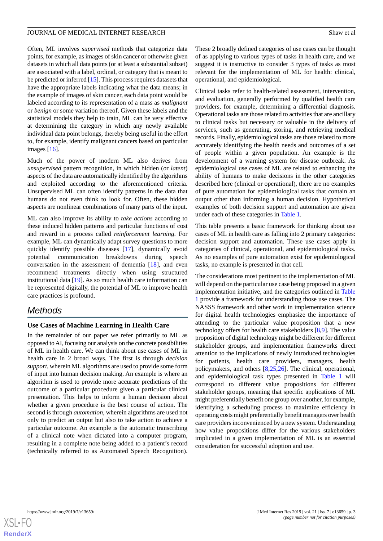Often, ML involves *supervised* methods that categorize data points, for example, as images of skin cancer or otherwise given datasets in which all data points (or at least a substantial subset) are associated with a label, ordinal, or category that is meant to be predicted or inferred [[15\]](#page-8-6). This process requires datasets that have the appropriate labels indicating what the data means; in the example of images of skin cancer, each data point would be labeled according to its representation of a mass as *malignant* or *benign* or some variation thereof. Given these labels and the statistical models they help to train, ML can be very effective at determining the category in which any newly available individual data point belongs, thereby being useful in the effort to, for example, identify malignant cancers based on particular images [[16\]](#page-8-7).

Much of the power of modern ML also derives from *unsupervised* pattern recognition, in which hidden (or *latent*) aspects of the data are automatically identified by the algorithms and exploited according to the aforementioned criteria. Unsupervised ML can often identify patterns in the data that humans do not even think to look for. Often, these hidden aspects are nonlinear combinations of many parts of the input.

ML can also improve its ability to *take actions* according to these induced hidden patterns and particular functions of cost and reward in a process called *reinforcement learning*. For example, ML can dynamically adapt survey questions to more quickly identify possible diseases [[17\]](#page-8-8), dynamically avoid potential communication breakdowns during speech conversation in the assessment of dementia [[18\]](#page-8-9), and even recommend treatments directly when using structured institutional data [\[19](#page-8-10)]. As so much health care information can be represented digitally, the potential of ML to improve health care practices is profound.

# *Methods*

# **Use Cases of Machine Learning in Health Care**

In the remainder of our paper we refer primarily to ML as opposed to AI, focusing our analysis on the concrete possibilities of ML in health care. We can think about use cases of ML in health care in 2 broad ways. The first is through *decision support*, wherein ML algorithms are used to provide some form of input into human decision making. An example is where an algorithm is used to provide more accurate predictions of the outcome of a particular procedure given a particular clinical presentation. This helps to inform a human decision about whether a given procedure is the best course of action. The second is through *automation*, wherein algorithms are used not only to predict an output but also to take action to achieve a particular outcome. An example is the automatic transcribing of a clinical note when dictated into a computer program, resulting in a complete note being added to a patient's record (technically referred to as Automated Speech Recognition).

These 2 broadly defined categories of use cases can be thought of as applying to various types of tasks in health care, and we suggest it is instructive to consider 3 types of tasks as most relevant for the implementation of ML for health: clinical, operational, and epidemiological.

Clinical tasks refer to health-related assessment, intervention, and evaluation, generally performed by qualified health care providers, for example, determining a differential diagnosis. Operational tasks are those related to activities that are ancillary to clinical tasks but necessary or valuable in the delivery of services, such as generating, storing, and retrieving medical records. Finally, epidemiological tasks are those related to more accurately identifying the health needs and outcomes of a set of people within a given population. An example is the development of a warning system for disease outbreak. As epidemiological use cases of ML are related to enhancing the ability of humans to make decisions in the other categories described here (clinical or operational), there are no examples of pure automation for epidemiological tasks that contain an output other than informing a human decision. Hypothetical examples of both decision support and automation are given under each of these categories in [Table 1](#page-3-0).

This table presents a basic framework for thinking about use cases of ML in health care as falling into 2 primary categories: decision support and automation. These use cases apply in categories of clinical, operational, and epidemiological tasks. As no examples of pure automation exist for epidemiological tasks, no example is presented in that cell.

The considerations most pertinent to the implementation of ML will depend on the particular use case being proposed in a given implementation initiative, and the categories outlined in [Table](#page-3-0) [1](#page-3-0) provide a framework for understanding those use cases. The NASSS framework and other work in implementation science for digital health technologies emphasize the importance of attending to the particular value proposition that a new technology offers for health care stakeholders [\[8,](#page-8-0)[9](#page-8-11)]. The value proposition of digital technology might be different for different stakeholder groups, and implementation frameworks direct attention to the implications of newly introduced technologies for patients, health care providers, managers, health policymakers, and others [\[8](#page-8-0),[25,](#page-8-12)[26](#page-8-13)]. The clinical, operational, and epidemiological task types presented in [Table 1](#page-3-0) will correspond to different value propositions for different stakeholder groups, meaning that specific applications of ML might preferentially benefit one group over another, for example, identifying a scheduling process to maximize efficiency in operating costs might preferentially benefit managers over health care providers inconvenienced by a new system. Understanding how value propositions differ for the various stakeholders implicated in a given implementation of ML is an essential consideration for successful adoption and use.

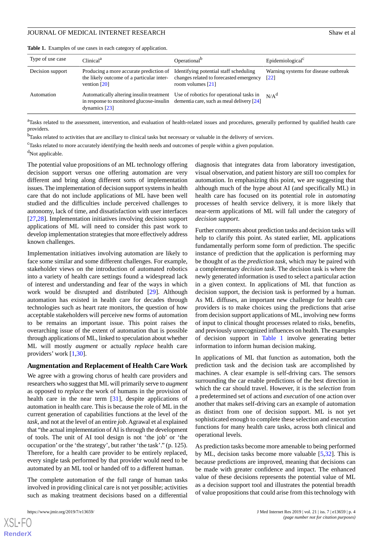| Type of use case | Clinical <sup>a</sup>                                                                                                                                                                        | Operational <sup>b</sup>                                                                                 | Epidemiological <sup>c</sup>                               |
|------------------|----------------------------------------------------------------------------------------------------------------------------------------------------------------------------------------------|----------------------------------------------------------------------------------------------------------|------------------------------------------------------------|
| Decision support | Producing a more accurate prediction of<br>the likely outcome of a particular inter-<br>vention $\lceil 20 \rceil$                                                                           | Identifying potential staff scheduling<br>changes related to forecasted emergency<br>room volumes $[21]$ | Warning systems for disease outbreak<br>$\lceil 22 \rceil$ |
| Automation       | Automatically altering insulin treatment Use of robotics for operational tasks in<br>in response to monitored glucose-insulin dementia care, such as meal delivery $[24]$<br>dynamics $[23]$ |                                                                                                          | N/A <sup>d</sup>                                           |

<span id="page-3-0"></span>**Table 1.** Examples of use cases in each category of application.

<sup>a</sup>Tasks related to the assessment, intervention, and evaluation of health-related issues and procedures, generally performed by qualified health care providers.

<sup>b</sup>Tasks related to activities that are ancillary to clinical tasks but necessary or valuable in the delivery of services.

<sup>c</sup>Tasks related to more accurately identifying the health needs and outcomes of people within a given population.

 $d$ Not applicable.

The potential value propositions of an ML technology offering decision support versus one offering automation are very different and bring along different sorts of implementation issues. The implementation of decision support systems in health care that do not include applications of ML have been well studied and the difficulties include perceived challenges to autonomy, lack of time, and dissatisfaction with user interfaces [[27](#page-8-19)[,28](#page-8-20)]. Implementation initiatives involving decision support applications of ML will need to consider this past work to develop implementation strategies that more effectively address known challenges.

Implementation initiatives involving automation are likely to face some similar and some different challenges. For example, stakeholder views on the introduction of automated robotics into a variety of health care settings found a widespread lack of interest and understanding and fear of the ways in which work would be disrupted and distributed [\[29](#page-8-21)]. Although automation has existed in health care for decades through technologies such as heart rate monitors, the question of how acceptable stakeholders will perceive new forms of automation to be remains an important issue. This point raises the overarching issue of the extent of automation that is possible through applications of ML, linked to speculation about whether ML will mostly *augment* or actually *replace* health care providers' work [[1](#page-7-0)[,30](#page-8-22)].

#### **Augmentation and Replacement of Health Care Work**

We agree with a growing chorus of health care providers and researchers who suggest that ML will primarily serve to *augment* as opposed to *replace* the work of humans in the provision of health care in the near term [[31\]](#page-8-23), despite applications of automation in health care. This is because the role of ML in the current generation of capabilities functions at the level of the *task*, and not at the level of an entire *job*. Agrawal et al explained that "the actual implementation of AI is through the development of tools. The unit of AI tool design is not 'the job' or 'the occupation' or the 'the strategy', but rather 'the task'." (p. 125). Therefore, for a health care provider to be entirely replaced, every single task performed by that provider would need to be automated by an ML tool or handed off to a different human.

The complete automation of the full range of human tasks involved in providing clinical care is not yet possible; activities such as making treatment decisions based on a differential

[XSL](http://www.w3.org/Style/XSL)•FO **[RenderX](http://www.renderx.com/)**

diagnosis that integrates data from laboratory investigation, visual observation, and patient history are still too complex for automation. In emphasizing this point, we are suggesting that although much of the hype about AI (and specifically ML) in health care has focused on its potential role in *automating* processes of health service delivery, it is more likely that near-term applications of ML will fall under the category of *decision support*.

Further comments about prediction tasks and decision tasks will help to clarify this point. As stated earlier, ML applications fundamentally perform some form of prediction. The specific instance of prediction that the application is performing may be thought of as the *prediction task*, which may be paired with a complementary *decision task*. The decision task is where the newly generated information is used to select a particular action in a given context. In applications of ML that function as decision support, the decision task is performed by a human. As ML diffuses, an important new challenge for health care providers is to make choices using the predictions that arise from decision support applications of ML, involving new forms of input to clinical thought processes related to risks, benefits, and previously unrecognized influences on health. The examples of decision support in [Table 1](#page-3-0) involve generating better information to inform human decision making.

In applications of ML that function as automation, both the prediction task and the decision task are accomplished by machines. A clear example is self-driving cars. The sensors surrounding the car enable predictions of the best direction in which the car should travel. However, it is the *selection* from a predetermined set of actions and *execution* of one action over another that makes self-driving cars an example of automation as distinct from one of decision support. ML is not yet sophisticated enough to complete these selection and execution functions for many health care tasks, across both clinical and operational levels.

As prediction tasks become more amenable to being performed by ML, decision tasks become more valuable [\[5](#page-7-4),[32\]](#page-9-0). This is because predictions are improved, meaning that decisions can be made with greater confidence and impact. The enhanced value of these decisions represents the potential value of ML as a decision support tool and illustrates the potential breadth of value propositions that could arise from this technology with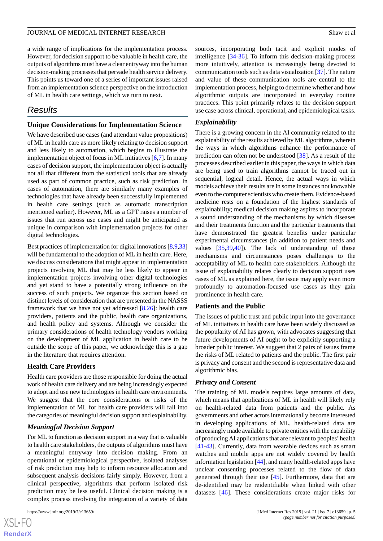a wide range of implications for the implementation process. However, for decision support to be valuable in health care, the outputs of algorithms must have a clear entryway into the human decision-making processes that pervade health service delivery. This points us toward one of a series of important issues raised from an implementation science perspective on the introduction of ML in health care settings, which we turn to next.

# *Results*

#### **Unique Considerations for Implementation Science**

We have described use cases (and attendant value propositions) of ML in health care as more likely relating to decision support and less likely to automation, which begins to illustrate the implementation object of focus in ML initiatives  $[6,7]$  $[6,7]$  $[6,7]$  $[6,7]$ . In many cases of decision support, the implementation object is actually not all that different from the statistical tools that are already used as part of common practice, such as risk prediction. In cases of automation, there are similarly many examples of technologies that have already been successfully implemented in health care settings (such as automatic transcription mentioned earlier). However, ML as a GPT raises a number of issues that run across use cases and might be anticipated as unique in comparison with implementation projects for other digital technologies.

Best practices of implementation for digital innovations [[8,](#page-8-0)[9](#page-8-11)[,33](#page-9-1)] will be fundamental to the adoption of ML in health care. Here, we discuss considerations that might appear in implementation projects involving ML that may be less likely to appear in implementation projects involving other digital technologies and yet stand to have a potentially strong influence on the success of such projects. We organize this section based on distinct levels of consideration that are presented in the NASSS framework that we have not yet addressed [[8,](#page-8-0)[26](#page-8-13)]: health care providers, patients and the public, health care organizations, and health policy and systems. Although we consider the primary considerations of health technology vendors working on the development of ML application in health care to be outside the scope of this paper, we acknowledge this is a gap in the literature that requires attention.

# **Health Care Providers**

Health care providers are those responsible for doing the actual work of health care delivery and are being increasingly expected to adopt and use new technologies in health care environments. We suggest that the core considerations or risks of the implementation of ML for health care providers will fall into the categories of meaningful decision support and explainability.

#### *Meaningful Decision Support*

For ML to function as decision support in a way that is valuable to health care stakeholders, the outputs of algorithms must have a meaningful entryway into decision making. From an operational or epidemiological perspective, isolated analyses of risk prediction may help to inform resource allocation and subsequent analysis decisions fairly simply. However, from a clinical perspective, algorithms that perform isolated risk prediction may be less useful. Clinical decision making is a complex process involving the integration of a variety of data

sources, incorporating both tacit and explicit modes of intelligence [\[34](#page-9-2)[-36](#page-9-3)]. To inform this decision-making process more intuitively, attention is increasingly being devoted to communication tools such as data visualization [\[37](#page-9-4)]. The nature and value of these communication tools are central to the implementation process, helping to determine whether and how algorithmic outputs are incorporated in everyday routine practices. This point primarily relates to the decision support use case across clinical, operational, and epidemiological tasks.

#### *Explainability*

There is a growing concern in the AI community related to the explainability of the results achieved by ML algorithms, wherein the ways in which algorithms enhance the performance of prediction can often not be understood [\[38](#page-9-5)]. As a result of the processes described earlier in this paper, the ways in which data are being used to train algorithms cannot be traced out in sequential, logical detail. Hence, the actual ways in which models achieve their results are in some instances not knowable even to the computer scientists who create them. Evidence-based medicine rests on a foundation of the highest standards of explainability; medical decision making aspires to incorporate a sound understanding of the mechanisms by which diseases and their treatments function and the particular treatments that have demonstrated the greatest benefits under particular experimental circumstances (in addition to patient needs and values [\[35](#page-9-6),[39](#page-9-7)[,40](#page-9-8)]). The lack of understanding of those mechanisms and circumstances poses challenges to the acceptability of ML to health care stakeholders. Although the issue of explainability relates clearly to decision support uses cases of ML as explained here, the issue may apply even more profoundly to automation-focused use cases as they gain prominence in health care.

# **Patients and the Public**

The issues of public trust and public input into the governance of ML initiatives in health care have been widely discussed as the popularity of AI has grown, with advocates suggesting that future developments of AI ought to be explicitly supporting a broader public interest. We suggest that 2 pairs of issues frame the risks of ML related to patients and the public. The first pair is privacy and consent and the second is representative data and algorithmic bias.

#### *Privacy and Consent*

The training of ML models requires large amounts of data, which means that applications of ML in health will likely rely on health-related data from patients and the public. As governments and other actors internationally become interested in developing applications of ML, health-related data are increasingly made available to private entities with the capability of producing AI applications that are relevant to peoples' health [[41](#page-9-9)[-43](#page-9-10)]. Currently, data from wearable devices such as smart watches and mobile apps are not widely covered by health information legislation [\[44](#page-9-11)], and many health-related apps have unclear consenting processes related to the flow of data generated through their use [[45\]](#page-9-12). Furthermore, data that are de-identified may be reidentifiable when linked with other datasets [\[46](#page-9-13)]. These considerations create major risks for

```
XSL•FO
RenderX
```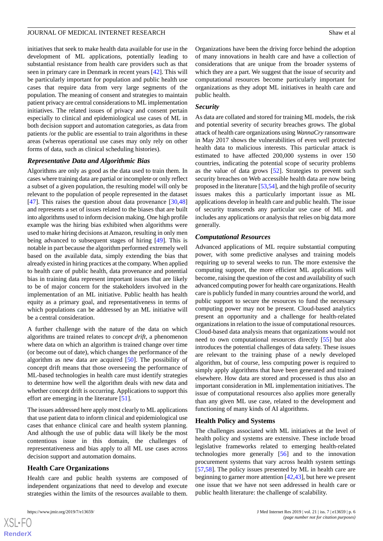initiatives that seek to make health data available for use in the development of ML applications, potentially leading to substantial resistance from health care providers such as that seen in primary care in Denmark in recent years [\[42](#page-9-14)]. This will be particularly important for population and public health use cases that require data from very large segments of the population. The meaning of consent and strategies to maintain patient privacy are central considerations to ML implementation initiatives. The related issues of privacy and consent pertain especially to clinical and epidemiological use cases of ML in both decision support and automation categories, as data from patients /or the public are essential to train algorithms in these areas (whereas operational use cases may only rely on other forms of data, such as clinical scheduling histories).

#### *Representative Data and Algorithmic Bias*

Algorithms are only as good as the data used to train them. In cases where training data are partial or incomplete or only reflect a subset of a given population, the resulting model will only be relevant to the population of people represented in the dataset [[47\]](#page-9-15). This raises the question about data provenance [[30](#page-8-22)[,48](#page-9-16)] and represents a set of issues related to the biases that are built into algorithms used to inform decision making. One high profile example was the hiring bias exhibited when algorithms were used to make hiring decisions at Amazon, resulting in only men being advanced to subsequent stages of hiring [\[49](#page-9-17)]. This is notable in part because the algorithm performed extremely well based on the available data, simply extending the bias that already existed in hiring practices at the company. When applied to health care of public health, data provenance and potential bias in training data represent important issues that are likely to be of major concern for the stakeholders involved in the implementation of an ML initiative. Public health has health equity as a primary goal, and representativeness in terms of which populations can be addressed by an ML initiative will be a central consideration.

A further challenge with the nature of the data on which algorithms are trained relates to *concept drift*, a phenomenon where data on which an algorithm is trained change over time (or become out of date), which changes the performance of the algorithm as new data are acquired [[50\]](#page-9-18). The possibility of concept drift means that those overseeing the performance of ML-based technologies in health care must identify strategies to determine how well the algorithm deals with new data and whether concept drift is occurring. Applications to support this effort are emerging in the literature [[51\]](#page-9-19).

The issues addressed here apply most clearly to ML applications that use patient data to inform clinical and epidemiological use cases that enhance clinical care and health system planning. And although the use of public data will likely be the most contentious issue in this domain, the challenges of representativeness and bias apply to all ML use cases across decision support and automation domains.

# **Health Care Organizations**

Health care and public health systems are composed of independent organizations that need to develop and execute strategies within the limits of the resources available to them.

Organizations have been the driving force behind the adoption of many innovations in health care and have a collection of considerations that are unique from the broader systems of which they are a part. We suggest that the issue of security and computational resources become particularly important for organizations as they adopt ML initiatives in health care and public health.

#### *Security*

As data are collated and stored for training ML models, the risk and potential severity of security breaches grows. The global attack of health care organizations using *WannaCry* ransomware in May 2017 shows the vulnerabilities of even well protected health data to malicious interests. This particular attack is estimated to have affected 200,000 systems in over 150 countries, indicating the potential scope of security problems as the value of data grows [\[52](#page-9-20)]. Strategies to prevent such security breaches on Web accessible health data are now being proposed in the literature [\[53](#page-9-21)[,54](#page-9-22)], and the high profile of security issues makes this a particularly important issue as ML applications develop in health care and public health. The issue of security transcends any particular use case of ML and includes any applications or analysis that relies on big data more generally.

#### *Computational Resources*

Advanced applications of ML require substantial computing power, with some predictive analyses and training models requiring up to several weeks to run. The more extensive the computing support, the more efficient ML applications will become, raising the question of the cost and availability of such advanced computing power for health care organizations. Health care is publicly funded in many countries around the world, and public support to secure the resources to fund the necessary computing power may not be present. Cloud-based analytics present an opportunity and a challenge for health-related organizations in relation to the issue of computational resources. Cloud-based data analysis means that organizations would not need to own computational resources directly [\[55](#page-9-23)] but also introduces the potential challenges of data safety. These issues are relevant to the training phase of a newly developed algorithm, but of course, less computing power is required to simply apply algorithms that have been generated and trained elsewhere. How data are stored and processed is thus also an important consideration in ML implementation initiatives. The issue of computational resources also applies more generally than any given ML use case, related to the development and functioning of many kinds of AI algorithms.

#### **Health Policy and Systems**

The challenges associated with ML initiatives at the level of health policy and systems are extensive. These include broad legislative frameworks related to emerging health-related technologies more generally [[56\]](#page-9-24) and to the innovation procurement systems that vary across health system settings [[57,](#page-9-25)[58\]](#page-9-26). The policy issues presented by ML in health care are beginning to garner more attention [[42](#page-9-14)[,43](#page-9-10)], but here we present one issue that we have not seen addressed in health care or public health literature: the challenge of scalability.

```
XS-FO
RenderX
```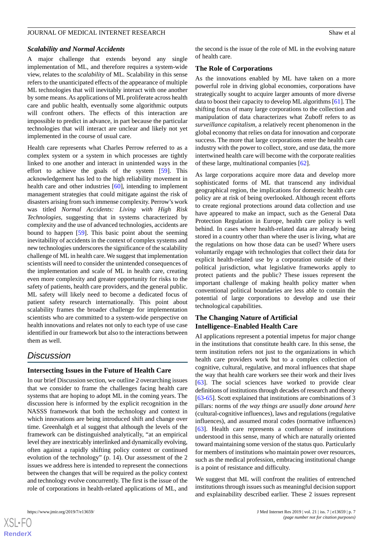#### *Scalability and Normal Accidents*

A major challenge that extends beyond any single implementation of ML, and therefore requires a system-wide view, relates to the *scalability* of ML. Scalability in this sense refers to the unanticipated effects of the appearance of multiple ML technologies that will inevitably interact with one another by some means. As applications of ML proliferate across health care and public health, eventually some algorithmic outputs will confront others. The effects of this interaction are impossible to predict in advance, in part because the particular technologies that will interact are unclear and likely not yet implemented in the course of usual care.

Health care represents what Charles Perrow referred to as a complex system or a system in which processes are tightly linked to one another and interact in unintended ways in the effort to achieve the goals of the system [\[59](#page-9-27)]. This acknowledgement has led to the high reliability movement in health care and other industries [[60\]](#page-10-0), intending to implement management strategies that could mitigate against the risk of disasters arising from such immense complexity. Perrow's work was titled *Normal Accidents: Living with High Risk Technologies*, suggesting that in systems characterized by complexity and the use of advanced technologies, accidents are bound to happen [\[59](#page-9-27)]. This basic point about the seeming inevitability of accidents in the context of complex systems and new technologies underscores the significance of the scalability challenge of ML in health care. We suggest that implementation scientists will need to consider the unintended consequences of the implementation and scale of ML in health care, creating even more complexity and greater opportunity for risks to the safety of patients, health care providers, and the general public. ML safety will likely need to become a dedicated focus of patient safety research internationally. This point about scalability frames the broader challenge for implementation scientists who are committed to a system-wide perspective on health innovations and relates not only to each type of use case identified in our framework but also to the interactions between them as well.

# *Discussion*

# **Intersecting Issues in the Future of Health Care**

In our brief Discussion section, we outline 2 overarching issues that we consider to frame the challenges facing health care systems that are hoping to adopt ML in the coming years. The discussion here is informed by the explicit recognition in the NASSS framework that both the technology and context in which innovations are being introduced shift and change over time. Greenhalgh et al suggest that although the levels of the framework can be distinguished analytically, "at an empirical level they are inextricably interlinked and dynamically evolving, often against a rapidly shifting policy context or continued evolution of the technology" (p. 14). Our assessment of the 2 issues we address here is intended to represent the connections between the changes that will be required as the policy context and technology evolve concurrently. The first is the issue of the role of corporations in health-related applications of ML, and

 $XS$ -FO **[RenderX](http://www.renderx.com/)** the second is the issue of the role of ML in the evolving nature of health care.

#### **The Role of Corporations**

As the innovations enabled by ML have taken on a more powerful role in driving global economies, corporations have strategically sought to acquire larger amounts of more diverse data to boost their capacity to develop ML algorithms [[61\]](#page-10-1). The shifting focus of many large corporations to the collection and manipulation of data characterizes what Zuboff refers to as *surveillance capitalism*, a relatively recent phenomenon in the global economy that relies on data for innovation and corporate success. The more that large corporations enter the health care industry with the power to collect, store, and use data, the more intertwined health care will become with the corporate realities of these large, multinational companies [[62\]](#page-10-2).

As large corporations acquire more data and develop more sophisticated forms of ML that transcend any individual geographical region, the implications for domestic health care policy are at risk of being overlooked. Although recent efforts to create regional protections around data collection and use have appeared to make an impact, such as the General Data Protection Regulation in Europe, health care policy is well behind. In cases where health-related data are already being stored in a country other than where the user is living, what are the regulations on how those data can be used? Where users voluntarily engage with technologies that collect their data for explicit health-related use by a corporation outside of their political jurisdiction, what legislative frameworks apply to protect patients and the public? These issues represent the important challenge of making health policy matter when conventional political boundaries are less able to contain the potential of large corporations to develop and use their technological capabilities.

# **The Changing Nature of Artificial Intelligence–Enabled Health Care**

AI applications represent a potential impetus for major change in the institutions that constitute health care. In this sense, the term institution refers not just to the organizations in which health care providers work but to a complex collection of cognitive, cultural, regulative, and moral influences that shape the way that health care workers see their work and their lives [[63\]](#page-10-3). The social sciences have worked to provide clear definitions of institutions through decades of research and theory [[63](#page-10-3)[-65](#page-10-4)]. Scott explained that institutions are combinations of 3 pillars: norms of *the way things are usually done around here* (cultural-cognitive influences), laws and regulations (regulative influences), and assumed moral codes (normative influences) [[63\]](#page-10-3). Health care represents a confluence of institutions understood in this sense, many of which are naturally oriented toward maintaining some version of the status quo. Particularly for members of institutions who maintain power over resources, such as the medical profession, embracing institutional change is a point of resistance and difficulty.

We suggest that ML will confront the realities of entrenched institutions through issues such as meaningful decision support and explainability described earlier. These 2 issues represent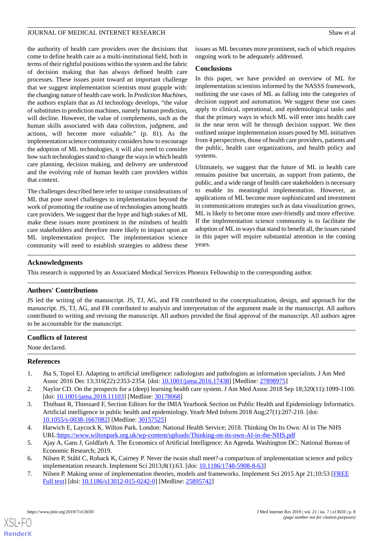the authority of health care providers over the decisions that come to define health care as a multi-institutional field, both in terms of their rightful positions within the system and the fabric of decision making that has always defined health care processes. These issues point toward an important challenge that we suggest implementation scientists must grapple with: the changing nature of health care work. In *Prediction Machines*, the authors explain that as AI technology develops, "the value of substitutes to prediction machines, namely human prediction, will decline. However, the value of complements, such as the human skills associated with data collection, judgment, and actions, will become more valuable." (p. 81). As the implementation science community considers how to encourage the adoption of ML technologies, it will also need to consider how such technologies stand to change the ways in which health care planning, decision making, and delivery are understood and the evolving role of human health care providers within that context.

The challenges described here refer to unique considerations of ML that pose novel challenges to implementation beyond the work of promoting the routine use of technologies among health care providers. We suggest that the hype and high stakes of ML make these issues more prominent in the mindsets of health care stakeholders and therefore more likely to impact upon an ML implementation project. The implementation science community will need to establish strategies to address these

issues as ML becomes more prominent, each of which requires ongoing work to be adequately addressed.

#### **Conclusions**

In this paper, we have provided an overview of ML for implementation scientists informed by the NASSS framework, outlining the use cases of ML as falling into the categories of decision support and automation. We suggest these use cases apply to clinical, operational, and epidemiological tasks and that the primary ways in which ML will enter into health care in the near term will be through decision support. We then outlined unique implementation issues posed by ML initiatives from 4 perspectives, those of health care providers, patients and the public, health care organizations, and health policy and systems.

Ultimately, we suggest that the future of ML in health care remains positive but uncertain, as support from patients, the public, and a wide range of health care stakeholders is necessary to enable its meaningful implementation. However, as applications of ML become more sophisticated and investment in communications strategies such as data visualization grows, ML is likely to become more user-friendly and more effective. If the implementation science community is to facilitate the adoption of ML in ways that stand to benefit all, the issues raised in this paper will require substantial attention in the coming years.

# **Acknowledgments**

This research is supported by an Associated Medical Services Phoenix Fellowship to the corresponding author.

# **Authors' Contributions**

JS led the writing of the manuscript. JS, TJ, AG, and FR contributed to the conceptualization, design, and approach for the manuscript. JS, TJ, AG, and FR contributed to analysis and interpretation of the argument made in the manuscript. All authors contributed to writing and revising the manuscript. All authors provided the final approval of the manuscript. All authors agree to be accountable for the manuscript.

# <span id="page-7-0"></span>**Conflicts of Interest**

<span id="page-7-1"></span>None declared.

# <span id="page-7-2"></span>**References**

- 1. Jha S, Topol EJ. Adapting to artificial intelligence: radiologists and pathologists as information specialists. J Am Med Assoc 2016 Dec 13;316(22):2353-2354. [doi: [10.1001/jama.2016.17438](http://dx.doi.org/10.1001/jama.2016.17438)] [Medline: [27898975\]](http://www.ncbi.nlm.nih.gov/entrez/query.fcgi?cmd=Retrieve&db=PubMed&list_uids=27898975&dopt=Abstract)
- <span id="page-7-3"></span>2. Naylor CD. On the prospects for a (deep) learning health care system. J Am Med Assoc 2018 Sep 18;320(11):1099-1100. [doi: [10.1001/jama.2018.11103\]](http://dx.doi.org/10.1001/jama.2018.11103) [Medline: [30178068](http://www.ncbi.nlm.nih.gov/entrez/query.fcgi?cmd=Retrieve&db=PubMed&list_uids=30178068&dopt=Abstract)]
- <span id="page-7-5"></span><span id="page-7-4"></span>3. Thiébaut R, Thiessard F, Section Editors for the IMIA Yearbook Section on Public Health and Epidemiology Informatics. Artificial intelligence in public health and epidemiology. Yearb Med Inform 2018 Aug;27(1):207-210. [doi: [10.1055/s-0038-1667082](http://dx.doi.org/10.1055/s-0038-1667082)] [Medline: [30157525](http://www.ncbi.nlm.nih.gov/entrez/query.fcgi?cmd=Retrieve&db=PubMed&list_uids=30157525&dopt=Abstract)]
- <span id="page-7-6"></span>4. Harwich E, Laycock K. Wilton Park. London: National Health Service; 2018. Thinking On Its Own: AI in The NHS URL[:https://www.wiltonpark.org.uk/wp-content/uploads/Thinking-on-its-own-AI-in-the-NHS.pdf](https://www.wiltonpark.org.uk/wp-content/uploads/Thinking-on-its-own-AI-in-the-NHS.pdf)
- 5. Ajay A, Gans J, Goldfarb A. The Economics of Artificial Intelligence: An Agenda. Washington DC: National Bureau of Economic Research; 2019.
- 6. Nilsen P, Ståhl C, Roback K, Cairney P. Never the twain shall meet?-a comparison of implementation science and policy implementation research. Implement Sci 2013;8(1):63. [doi: [10.1186/1748-5908-8-63](http://dx.doi.org/10.1186/1748-5908-8-63)]
- 7. Nilsen P. Making sense of implementation theories, models and frameworks. Implement Sci 2015 Apr 21;10:53 [\[FREE](https://implementationscience.biomedcentral.com/articles/10.1186/s13012-015-0242-0) [Full text\]](https://implementationscience.biomedcentral.com/articles/10.1186/s13012-015-0242-0) [doi: [10.1186/s13012-015-0242-0](http://dx.doi.org/10.1186/s13012-015-0242-0)] [Medline: [25895742](http://www.ncbi.nlm.nih.gov/entrez/query.fcgi?cmd=Retrieve&db=PubMed&list_uids=25895742&dopt=Abstract)]

[XSL](http://www.w3.org/Style/XSL)•FO **[RenderX](http://www.renderx.com/)**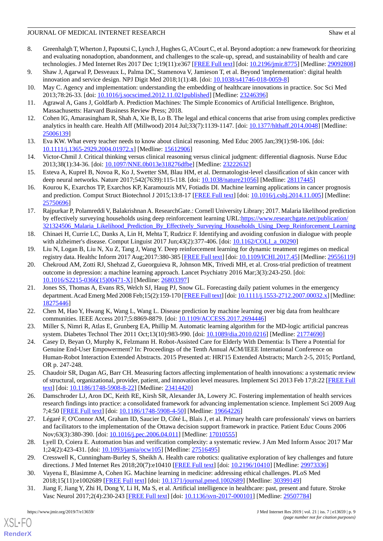- <span id="page-8-0"></span>8. Greenhalgh T, Wherton J, Papoutsi C, Lynch J, Hughes G, A'Court C, et al. Beyond adoption: a new framework for theorizing and evaluating nonadoption, abandonment, and challenges to the scale-up, spread, and sustainability of health and care technologies. J Med Internet Res 2017 Dec 1;19(11):e367 [[FREE Full text\]](http://www.jmir.org/2017/11/e367/) [doi: [10.2196/jmir.8775](http://dx.doi.org/10.2196/jmir.8775)] [Medline: [29092808](http://www.ncbi.nlm.nih.gov/entrez/query.fcgi?cmd=Retrieve&db=PubMed&list_uids=29092808&dopt=Abstract)]
- <span id="page-8-11"></span><span id="page-8-1"></span>9. Shaw J, Agarwal P, Desveaux L, Palma DC, Stamenova V, Jamieson T, et al. Beyond 'implementation': digital health innovation and service design. NPJ Digit Med 2018;1(1):48. [doi: [10.1038/s41746-018-0059-8](http://dx.doi.org/10.1038/s41746-018-0059-8)]
- <span id="page-8-2"></span>10. May C. Agency and implementation: understanding the embedding of healthcare innovations in practice. Soc Sci Med 2013;78:26-33. [doi: [10.1016/j.socscimed.2012.11.021published](http://dx.doi.org/10.1016/j.socscimed.2012.11.021published)] [Medline: [23246396](http://www.ncbi.nlm.nih.gov/entrez/query.fcgi?cmd=Retrieve&db=PubMed&list_uids=23246396&dopt=Abstract)]
- <span id="page-8-3"></span>11. Agrawal A, Gans J, Goldfarb A. Prediction Machines: The Simple Economics of Artificial Intelligence. Brighton, Massachusetts: Harvard Business Review Press; 2018.
- <span id="page-8-4"></span>12. Cohen IG, Amarasingham R, Shah A, Xie B, Lo B. The legal and ethical concerns that arise from using complex predictive analytics in health care. Health Aff (Millwood) 2014 Jul;33(7):1139-1147. [doi: [10.1377/hlthaff.2014.0048](http://dx.doi.org/10.1377/hlthaff.2014.0048)] [Medline: [25006139](http://www.ncbi.nlm.nih.gov/entrez/query.fcgi?cmd=Retrieve&db=PubMed&list_uids=25006139&dopt=Abstract)]
- <span id="page-8-5"></span>13. Eva KW. What every teacher needs to know about clinical reasoning. Med Educ 2005 Jan;39(1):98-106. [doi: [10.1111/j.1365-2929.2004.01972.x\]](http://dx.doi.org/10.1111/j.1365-2929.2004.01972.x) [Medline: [15612906\]](http://www.ncbi.nlm.nih.gov/entrez/query.fcgi?cmd=Retrieve&db=PubMed&list_uids=15612906&dopt=Abstract)
- <span id="page-8-6"></span>14. Victor-Chmil J. Critical thinking versus clinical reasoning versus clinical judgment: differential diagnosis. Nurse Educ 2013;38(1):34-36. [doi: [10.1097/NNE.0b013e318276dfbe](http://dx.doi.org/10.1097/NNE.0b013e318276dfbe)] [Medline: [23222632\]](http://www.ncbi.nlm.nih.gov/entrez/query.fcgi?cmd=Retrieve&db=PubMed&list_uids=23222632&dopt=Abstract)
- <span id="page-8-7"></span>15. Esteva A, Kuprel B, Novoa R, Ko J, Swetter SM, Blau HM, et al. Dermatologist-level classification of skin cancer with deep neural networks. Nature 2017;542(7639):115-118. [doi: [10.1038/nature21056\]](http://dx.doi.org/10.1038/nature21056) [Medline: [28117445\]](http://www.ncbi.nlm.nih.gov/entrez/query.fcgi?cmd=Retrieve&db=PubMed&list_uids=28117445&dopt=Abstract)
- <span id="page-8-8"></span>16. Kourou K, Exarchos TP, Exarchos KP, Karamouzis MV, Fotiadis DI. Machine learning applications in cancer prognosis and prediction. Comput Struct Biotechnol J 2015;13:8-17 [[FREE Full text](https://linkinghub.elsevier.com/retrieve/pii/S2001-0370(14)00046-4)] [doi: [10.1016/j.csbj.2014.11.005](http://dx.doi.org/10.1016/j.csbj.2014.11.005)] [Medline: [25750696](http://www.ncbi.nlm.nih.gov/entrez/query.fcgi?cmd=Retrieve&db=PubMed&list_uids=25750696&dopt=Abstract)]
- <span id="page-8-9"></span>17. Rajpurkar P, Polamreddi V, Balakrishnan A. ResearchGate.: Cornell University Library; 2017. Malaria likelihood prediction by effectively surveying households using deep reinforcement learning URL:[https://www.researchgate.net/publication/](https://www.researchgate.net/publication/321324506_Malaria_Likelihood_Prediction_By_Effectively_Surveying_Households_Using_Deep_Reinforcement_Learning) 321324506 Malaria Likelihood Prediction By Effectively Surveying Households Using Deep Reinforcement Learning
- <span id="page-8-16"></span><span id="page-8-10"></span>18. Chinaei H, Currie LC, Danks A, Lin H, Mehta T, Rudzicz F. Identifying and avoiding confusion in dialogue with people with alzheimer's disease. Comput Linguist 2017 Jun;43(2):377-406. [doi: [10.1162/COLI\\_a\\_00290](http://dx.doi.org/10.1162/COLI_a_00290)]
- 19. Liu N, Logan B, Liu N, Xu Z, Tang J, Wang Y. Deep reinforcement learning for dynamic treatment regimes on medical registry data. Healthc Inform 2017 Aug;2017:380-385 [\[FREE Full text\]](http://europepmc.org/abstract/MED/29556119) [doi: [10.1109/ICHI.2017.45\]](http://dx.doi.org/10.1109/ICHI.2017.45) [Medline: [29556119](http://www.ncbi.nlm.nih.gov/entrez/query.fcgi?cmd=Retrieve&db=PubMed&list_uids=29556119&dopt=Abstract)]
- <span id="page-8-15"></span>20. Chekroud AM, Zotti RJ, Shehzad Z, Gueorguieva R, Johnson MK, Trivedi MH, et al. Cross-trial prediction of treatment outcome in depression: a machine learning approach. Lancet Psychiatry 2016 Mar;3(3):243-250. [doi: [10.1016/S2215-0366\(15\)00471-X\]](http://dx.doi.org/10.1016/S2215-0366(15)00471-X) [Medline: [26803397\]](http://www.ncbi.nlm.nih.gov/entrez/query.fcgi?cmd=Retrieve&db=PubMed&list_uids=26803397&dopt=Abstract)
- <span id="page-8-18"></span><span id="page-8-14"></span>21. Jones SS, Thomas A, Evans RS, Welch SJ, Haug PJ, Snow GL. Forecasting daily patient volumes in the emergency department. Acad Emerg Med 2008 Feb;15(2):159-170 [\[FREE Full text](https://doi.org/10.1111/j.1553-2712.2007.00032.x)] [doi: [10.1111/j.1553-2712.2007.00032.x\]](http://dx.doi.org/10.1111/j.1553-2712.2007.00032.x) [Medline: [18275446](http://www.ncbi.nlm.nih.gov/entrez/query.fcgi?cmd=Retrieve&db=PubMed&list_uids=18275446&dopt=Abstract)]
- <span id="page-8-17"></span>22. Chen M, Hao Y, Hwang K, Wang L, Wang L. Disease prediction by machine learning over big data from healthcare communities. IEEE Access 2017;5:8869-8879. [doi: [10.1109/ACCESS.2017.2694446\]](http://dx.doi.org/10.1109/ACCESS.2017.2694446)
- 23. Miller S, Nimri R, Atlas E, Grunberg EA, Phillip M. Automatic learning algorithm for the MD-logic artificial pancreas system. Diabetes Technol Ther 2011 Oct;13(10):983-990. [doi: [10.1089/dia.2010.0216\]](http://dx.doi.org/10.1089/dia.2010.0216) [Medline: [21774690\]](http://www.ncbi.nlm.nih.gov/entrez/query.fcgi?cmd=Retrieve&db=PubMed&list_uids=21774690&dopt=Abstract)
- <span id="page-8-13"></span><span id="page-8-12"></span>24. Casey D, Beyan O, Murphy K, Felzmann H. Robot-Assisted Care for Elderly With Dementia: Is There a Potential for Genuine End-User Empowerment? In: Proceedings of the Tenth Annual ACM/IEEE International Conference on Human-Robot Interaction Extended Abstracts. 2015 Presented at: HRI'15 Extended Abstracts; March 2-5, 2015; Portland, OR p. 247-248.
- <span id="page-8-19"></span>25. Chaudoir SR, Dugan AG, Barr CH. Measuring factors affecting implementation of health innovations: a systematic review of structural, organizational, provider, patient, and innovation level measures. Implement Sci 2013 Feb 17;8:22 [\[FREE Full](https://implementationscience.biomedcentral.com/articles/10.1186/1748-5908-8-22) [text](https://implementationscience.biomedcentral.com/articles/10.1186/1748-5908-8-22)] [doi: [10.1186/1748-5908-8-22\]](http://dx.doi.org/10.1186/1748-5908-8-22) [Medline: [23414420\]](http://www.ncbi.nlm.nih.gov/entrez/query.fcgi?cmd=Retrieve&db=PubMed&list_uids=23414420&dopt=Abstract)
- <span id="page-8-20"></span>26. Damschroder LJ, Aron DC, Keith RE, Kirsh SR, Alexander JA, Lowery JC. Fostering implementation of health services research findings into practice: a consolidated framework for advancing implementation science. Implement Sci 2009 Aug 7;4:50 [[FREE Full text](https://implementationscience.biomedcentral.com/articles/10.1186/1748-5908-4-50)] [doi: [10.1186/1748-5908-4-50\]](http://dx.doi.org/10.1186/1748-5908-4-50) [Medline: [19664226\]](http://www.ncbi.nlm.nih.gov/entrez/query.fcgi?cmd=Retrieve&db=PubMed&list_uids=19664226&dopt=Abstract)
- <span id="page-8-22"></span><span id="page-8-21"></span>27. Légaré F, O'Connor AM, Graham ID, Saucier D, Côté L, Blais J, et al. Primary health care professionals' views on barriers and facilitators to the implementation of the Ottawa decision support framework in practice. Patient Educ Couns 2006 Nov;63(3):380-390. [doi: [10.1016/j.pec.2006.04.011\]](http://dx.doi.org/10.1016/j.pec.2006.04.011) [Medline: [17010555](http://www.ncbi.nlm.nih.gov/entrez/query.fcgi?cmd=Retrieve&db=PubMed&list_uids=17010555&dopt=Abstract)]
- <span id="page-8-23"></span>28. Lyell D, Coiera E. Automation bias and verification complexity: a systematic review. J Am Med Inform Assoc 2017 Mar 1;24(2):423-431. [doi: [10.1093/jamia/ocw105](http://dx.doi.org/10.1093/jamia/ocw105)] [Medline: [27516495](http://www.ncbi.nlm.nih.gov/entrez/query.fcgi?cmd=Retrieve&db=PubMed&list_uids=27516495&dopt=Abstract)]
- 29. Cresswell K, Cunningham-Burley S, Sheikh A. Health care robotics: qualitative exploration of key challenges and future directions. J Med Internet Res 2018;20(7):e10410 [[FREE Full text](http://www.jmir.org/2018/7/e10410/)] [doi: [10.2196/10410\]](http://dx.doi.org/10.2196/10410) [Medline: [29973336\]](http://www.ncbi.nlm.nih.gov/entrez/query.fcgi?cmd=Retrieve&db=PubMed&list_uids=29973336&dopt=Abstract)
- 30. Vayena E, Blasimme A, Cohen IG. Machine learning in medicine: addressing ethical challenges. PLoS Med 2018;15(11):e1002689 [\[FREE Full text](http://dx.plos.org/10.1371/journal.pmed.1002689)] [doi: [10.1371/journal.pmed.1002689\]](http://dx.doi.org/10.1371/journal.pmed.1002689) [Medline: [30399149](http://www.ncbi.nlm.nih.gov/entrez/query.fcgi?cmd=Retrieve&db=PubMed&list_uids=30399149&dopt=Abstract)]
- 31. Jiang F, Jiang Y, Zhi H, Dong Y, Li H, Ma S, et al. Artificial intelligence in healthcare: past, present and future. Stroke Vasc Neurol 2017;2(4):230-243 [[FREE Full text\]](http://europepmc.org/abstract/MED/29507784) [doi: [10.1136/svn-2017-000101](http://dx.doi.org/10.1136/svn-2017-000101)] [Medline: [29507784\]](http://www.ncbi.nlm.nih.gov/entrez/query.fcgi?cmd=Retrieve&db=PubMed&list_uids=29507784&dopt=Abstract)

 $XS$  • FO **[RenderX](http://www.renderx.com/)**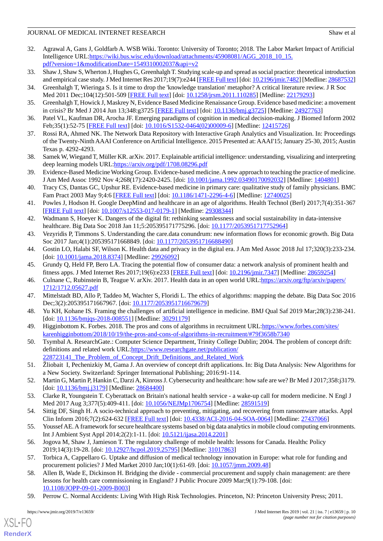- <span id="page-9-0"></span>32. Agrawal A, Gans J, Goldfarb A. WSB Wiki. Toronto: University of Toronto; 2018. The Labor Market Impact of Artificial Intelligence URL[:https://wiki.bus.wisc.edu/download/attachments/45908081/AGG\\_2018\\_10\\_15.](https://wiki.bus.wisc.edu/download/attachments/45908081/AGG_2018_10_15.pdf?version=1&modificationDate=1549310002037&api=v2) [pdf?version=1&modificationDate=1549310002037&api=v2](https://wiki.bus.wisc.edu/download/attachments/45908081/AGG_2018_10_15.pdf?version=1&modificationDate=1549310002037&api=v2)
- <span id="page-9-1"></span>33. Shaw J, Shaw S, Wherton J, Hughes G, Greenhalgh T. Studying scale-up and spread as social practice: theoretical introduction and empirical case study. J Med Internet Res 2017;19(7):e244 [\[FREE Full text](http://www.jmir.org/2017/7/e244/)] [doi: [10.2196/jmir.7482\]](http://dx.doi.org/10.2196/jmir.7482) [Medline: [28687532\]](http://www.ncbi.nlm.nih.gov/entrez/query.fcgi?cmd=Retrieve&db=PubMed&list_uids=28687532&dopt=Abstract)
- <span id="page-9-6"></span><span id="page-9-2"></span>34. Greenhalgh T, Wieringa S. Is it time to drop the 'knowledge translation' metaphor? A critical literature review. J R Soc Med 2011 Dec;104(12):501-509 [\[FREE Full text\]](http://europepmc.org/abstract/MED/22179293) [doi: [10.1258/jrsm.2011.110285](http://dx.doi.org/10.1258/jrsm.2011.110285)] [Medline: [22179293\]](http://www.ncbi.nlm.nih.gov/entrez/query.fcgi?cmd=Retrieve&db=PubMed&list_uids=22179293&dopt=Abstract)
- <span id="page-9-3"></span>35. Greenhalgh T, Howick J, Maskrey N, Evidence Based Medicine Renaissance Group. Evidence based medicine: a movement in crisis? Br Med J 2014 Jun 13;348:g3725 [[FREE Full text](http://europepmc.org/abstract/MED/24927763)] [doi: [10.1136/bmj.g3725\]](http://dx.doi.org/10.1136/bmj.g3725) [Medline: [24927763\]](http://www.ncbi.nlm.nih.gov/entrez/query.fcgi?cmd=Retrieve&db=PubMed&list_uids=24927763&dopt=Abstract)
- <span id="page-9-4"></span>36. Patel VL, Kaufman DR, Arocha JF. Emerging paradigms of cognition in medical decision-making. J Biomed Inform 2002 Feb;35(1):52-75 [[FREE Full text](https://linkinghub.elsevier.com/retrieve/pii/S1532-0464(02)00009-6)] [doi: [10.1016/S1532-0464\(02\)00009-6\]](http://dx.doi.org/10.1016/S1532-0464(02)00009-6) [Medline: [12415726\]](http://www.ncbi.nlm.nih.gov/entrez/query.fcgi?cmd=Retrieve&db=PubMed&list_uids=12415726&dopt=Abstract)
- <span id="page-9-5"></span>37. Rossi RA, Ahmed NK. The Network Data Repository with Interactive Graph Analytics and Visualization. In: Proceedings of the Twenty-Ninth AAAI Conference on Artificial Intelligence. 2015 Presented at: AAAI'15; January 25-30, 2015; Austin Texas p. 4292-4293.
- <span id="page-9-7"></span>38. Samek W, Wiegand T, Müller KR. arXiv. 2017. Explainable artificial intelligence: understanding, visualizing and interpreting deep learning models URL[:https://arxiv.org/pdf/1708.08296.pdf](https://arxiv.org/pdf/1708.08296.pdf)
- <span id="page-9-8"></span>39. Evidence-Based Medicine Working Group. Evidence-based medicine. A new approach to teaching the practice of medicine. J Am Med Assoc 1992 Nov 4;268(17):2420-2425. [doi: [10.1001/jama.1992.03490170092032\]](http://dx.doi.org/10.1001/jama.1992.03490170092032) [Medline: [1404801\]](http://www.ncbi.nlm.nih.gov/entrez/query.fcgi?cmd=Retrieve&db=PubMed&list_uids=1404801&dopt=Abstract)
- <span id="page-9-9"></span>40. Tracy CS, Dantas GC, Upshur RE. Evidence-based medicine in primary care: qualitative study of family physicians. BMC Fam Pract 2003 May 9;4:6 [\[FREE Full text\]](https://bmcfampract.biomedcentral.com/articles/10.1186/1471-2296-4-6) [doi: [10.1186/1471-2296-4-6](http://dx.doi.org/10.1186/1471-2296-4-6)] [Medline: [12740025](http://www.ncbi.nlm.nih.gov/entrez/query.fcgi?cmd=Retrieve&db=PubMed&list_uids=12740025&dopt=Abstract)]
- <span id="page-9-14"></span>41. Powles J, Hodson H. Google DeepMind and healthcare in an age of algorithms. Health Technol (Berl) 2017;7(4):351-367 [[FREE Full text](http://europepmc.org/abstract/MED/29308344)] [doi: [10.1007/s12553-017-0179-1\]](http://dx.doi.org/10.1007/s12553-017-0179-1) [Medline: [29308344](http://www.ncbi.nlm.nih.gov/entrez/query.fcgi?cmd=Retrieve&db=PubMed&list_uids=29308344&dopt=Abstract)]
- <span id="page-9-11"></span><span id="page-9-10"></span>42. Wadmann S, Hoeyer K. Dangers of the digital fit: rethinking seamlessness and social sustainability in data-intensive healthcare. Big Data Soc 2018 Jan 11;5:205395171775296. [doi: [10.1177/2053951717752964](http://dx.doi.org/10.1177/2053951717752964)]
- <span id="page-9-12"></span>43. Vezyridis P, Timmons S. Understanding the care.data conundrum: new information flows for economic growth. Big Data Soc 2017 Jan;4(1):205395171668849. [doi: [10.1177/2053951716688490\]](http://dx.doi.org/10.1177/2053951716688490)
- <span id="page-9-13"></span>44. Gostin LO, Halabi SF, Wilson K. Health data and privacy in the digital era. J Am Med Assoc 2018 Jul 17;320(3):233-234. [doi: [10.1001/jama.2018.8374\]](http://dx.doi.org/10.1001/jama.2018.8374) [Medline: [29926092](http://www.ncbi.nlm.nih.gov/entrez/query.fcgi?cmd=Retrieve&db=PubMed&list_uids=29926092&dopt=Abstract)]
- <span id="page-9-15"></span>45. Grundy Q, Held FP, Bero LA. Tracing the potential flow of consumer data: a network analysis of prominent health and fitness apps. J Med Internet Res 2017;19(6):e233 [\[FREE Full text\]](http://www.jmir.org/2017/6/e233/) [doi: [10.2196/jmir.7347\]](http://dx.doi.org/10.2196/jmir.7347) [Medline: [28659254](http://www.ncbi.nlm.nih.gov/entrez/query.fcgi?cmd=Retrieve&db=PubMed&list_uids=28659254&dopt=Abstract)]
- <span id="page-9-16"></span>46. Culnane C, Rubinstein B, Teague V. arXiv. 2017. Health data in an open world URL:[https://arxiv.org/ftp/arxiv/papers/](https://arxiv.org/ftp/arxiv/papers/1712/1712.05627.pdf) [1712/1712.05627.pdf](https://arxiv.org/ftp/arxiv/papers/1712/1712.05627.pdf)
- <span id="page-9-17"></span>47. Mittelstadt BD, Allo P, Taddeo M, Wachter S, Floridi L. The ethics of algorithms: mapping the debate. Big Data Soc 2016 Dec;3(2):205395171667967. [doi: [10.1177/2053951716679679\]](http://dx.doi.org/10.1177/2053951716679679)
- <span id="page-9-18"></span>48. Yu KH, Kohane IS. Framing the challenges of artificial intelligence in medicine. BMJ Qual Saf 2019 Mar;28(3):238-241. [doi: [10.1136/bmjqs-2018-008551](http://dx.doi.org/10.1136/bmjqs-2018-008551)] [Medline: [30291179](http://www.ncbi.nlm.nih.gov/entrez/query.fcgi?cmd=Retrieve&db=PubMed&list_uids=30291179&dopt=Abstract)]
- <span id="page-9-19"></span>49. Higginbottom K. Forbes. 2018. The pros and cons of algorithms in recruitment URL:[https://www.forbes.com/sites/](https://www.forbes.com/sites/karenhigginbottom/2018/10/19/the-pros-and-cons-of-algorithms-in-recruitment/#79f3658b7340) [karenhigginbottom/2018/10/19/the-pros-and-cons-of-algorithms-in-recruitment/#79f3658b7340](https://www.forbes.com/sites/karenhigginbottom/2018/10/19/the-pros-and-cons-of-algorithms-in-recruitment/#79f3658b7340)
- <span id="page-9-20"></span>50. Tsymbal A. ResearchGate.: Computer Science Department, Trinity College Dublin; 2004. The problem of concept drift: definitions and related work URL:[https://www.researchgate.net/publication/](https://www.researchgate.net/publication/228723141_The_Problem_of_Concept_Drift_Definitions_and_Related_Work) [228723141\\_The\\_Problem\\_of\\_Concept\\_Drift\\_Definitions\\_and\\_Related\\_Work](https://www.researchgate.net/publication/228723141_The_Problem_of_Concept_Drift_Definitions_and_Related_Work)
- <span id="page-9-22"></span><span id="page-9-21"></span>51. Žliobait I, Pechenizkiy M, Gama J. An overview of concept drift applications. In: Big Data Analysis: New Algorithms for a New Society. Switzerland: Springer International Publishing; 2016:91-114.
- <span id="page-9-23"></span>52. Martin G, Martin P, Hankin C, Darzi A, Kinross J. Cybersecurity and healthcare: how safe are we? Br Med J 2017;358:j3179. [doi: [10.1136/bmj.j3179](http://dx.doi.org/10.1136/bmj.j3179)] [Medline: [28684400\]](http://www.ncbi.nlm.nih.gov/entrez/query.fcgi?cmd=Retrieve&db=PubMed&list_uids=28684400&dopt=Abstract)
- <span id="page-9-24"></span>53. Clarke R, Youngstein T. Cyberattack on Britain's national health service - a wake-up call for modern medicine. N Engl J Med 2017 Aug 3;377(5):409-411. [doi: [10.1056/NEJMp1706754](http://dx.doi.org/10.1056/NEJMp1706754)] [Medline: [28591519](http://www.ncbi.nlm.nih.gov/entrez/query.fcgi?cmd=Retrieve&db=PubMed&list_uids=28591519&dopt=Abstract)]
- <span id="page-9-25"></span>54. Sittig DF, Singh H. A socio-technical approach to preventing, mitigating, and recovering from ransomware attacks. Appl Clin Inform 2016;7(2):624-632 [[FREE Full text](http://europepmc.org/abstract/MED/27437066)] [doi: [10.4338/ACI-2016-04-SOA-0064\]](http://dx.doi.org/10.4338/ACI-2016-04-SOA-0064) [Medline: [27437066](http://www.ncbi.nlm.nih.gov/entrez/query.fcgi?cmd=Retrieve&db=PubMed&list_uids=27437066&dopt=Abstract)]
- <span id="page-9-26"></span>55. Youssef AE. A framework for secure healthcare systems based on big data analytics in mobile cloud computing environments. Int J Ambient Syst Appl 2014;2(2):1-11. [doi: [10.5121/ijasa.2014.2201\]](http://dx.doi.org/10.5121/ijasa.2014.2201)
- <span id="page-9-27"></span>56. Jogova M, Shaw J, Jamieson T. The regulatory challenge of mobile health: lessons for Canada. Healthc Policy 2019;14(3):19-28. [doi: [10.12927/hcpol.2019.25795\]](http://dx.doi.org/10.12927/hcpol.2019.25795) [Medline: [31017863\]](http://www.ncbi.nlm.nih.gov/entrez/query.fcgi?cmd=Retrieve&db=PubMed&list_uids=31017863&dopt=Abstract)
- 57. Torbica A, Cappellaro G. Uptake and diffusion of medical technology innovation in Europe: what role for funding and procurement policies? J Med Market 2010 Jan;10(1):61-69. [doi: [10.1057/jmm.2009.48\]](http://dx.doi.org/10.1057/jmm.2009.48)
- 58. Allen B, Wade E, Dickinson H. Bridging the divide commercial procurement and supply chain management: are there lessons for health care commissioning in England? J Public Procure 2009 Mar;9(1):79-108. [doi: [10.1108/JOPP-09-01-2009-B003](http://dx.doi.org/10.1108/JOPP-09-01-2009-B003)]
- 59. Perrow C. Normal Accidents: Living With High Risk Technologies. Princeton, NJ: Princeton University Press; 2011.

[XSL](http://www.w3.org/Style/XSL)•FO **[RenderX](http://www.renderx.com/)**